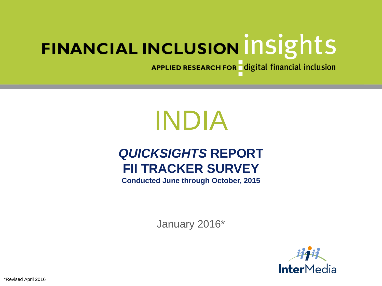APPLIED RESEARCH FOR digital financial inclusion

# INDIA

# *QUICKSIGHTS* **REPORT FII TRACKER SURVEY**

**Conducted June through October, 2015**

January 2016\*

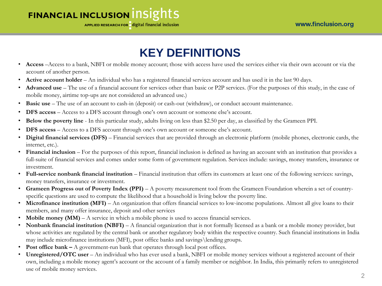APPLIED RESEARCH FOR digital financial inclusion

# **KEY DEFINITIONS**

- **Access** –Access to a bank, NBFI or mobile money account; those with access have used the services either via their own account or via the account of another person.
- **Active account holder** An individual who has a registered financial services account and has used it in the last 90 days.
- **Advanced use**  The use of a financial account for services other than basic or P2P services. (For the purposes of this study, in the case of mobile money, airtime top-ups are not considered an advanced use.)
- **Basic use** The use of an account to cash-in (deposit) or cash-out (withdraw), or conduct account maintenance.
- **DFS access** Access to a DFS account through one's own account or someone else's account.
- **Below the poverty line**  In this particular study, adults living on less than \$2.50 per day, as classified by the Grameen PPI.
- **DFS access** Access to a DFS account through one's own account or someone else's account.
- **Digital financial services (DFS)** Financial services that are provided through an electronic platform (mobile phones, electronic cards, the internet, etc.).
- Financial inclusion For the purposes of this report, financial inclusion is defined as having an account with an institution that provides a full-suite of financial services and comes under some form of government regulation. Services include: savings, money transfers, insurance or investment.
- **Full-service nonbank financial institution** Financial institution that offers its customers at least one of the following services: savings, money transfers, insurance or investment.
- **Grameen Progress out of Poverty Index (PPI)**  A poverty measurement tool from the Grameen Foundation wherein a set of countryspecific questions are used to compute the likelihood that a household is living below the poverty line.
- Microfinance institution (MFI) An organization that offers financial services to low-income populations. Almost all give loans to their members, and many offer insurance, deposit and other services
- **Mobile money (MM)** A service in which a mobile phone is used to access financial services.
- **Nonbank financial institution (NBFI)** A financial organization that is not formally licensed as a bank or a mobile money provider, but whose activities are regulated by the central bank or another regulatory body within the respective country. Such financial institutions in India may include microfinance institutions (MFI), post office banks and savings\lending groups.
- **Post office bank –** A government-run bank that operates through local post offices.
- **Unregistered/OTC user** An individual who has ever used a bank, NBFI or mobile money services without a registered account of their own, including a mobile money agent's account or the account of a family member or neighbor. In India, this primarily refers to unregistered use of mobile money services.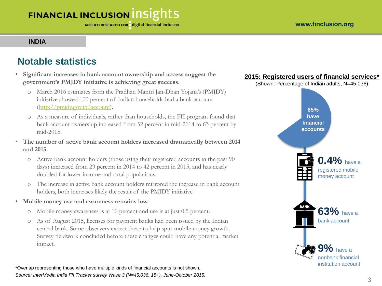#### **INDIA**

#### **Notable statistics**

- **Significant increases in bank account ownership and access suggest the government's PMJDY initiative is achieving great success.**
	- o March 2016 estimates from the Pradhan Mantri Jan-Dhan Yojana's (PMJDY) initiative showed 100 percent of Indian households had a bank account (<http://pmjdy.gov.in/account>).
	- o As a measure of individuals, rather than households, the FII program found that bank account ownership increased from 52 percent in mid-2014 to 63 percent by mid-2015.
- **The number of active bank account holders increased dramatically between 2014 and 2015.**
	- o Active bank account holders (those using their registered accounts in the past 90 days) increased from 29 percent in 2014 to 42 percent in 2015, and has nearly doubled for lower income and rural populations.
	- o The increase in active bank account holders mirrored the increase in bank account holders, both increases likely the result of the PMJDY initiative.
- **Mobile money use and awareness remains low.**
	- o Mobile money awareness is at 10 percent and use is at just 0.5 percent.
	- o As of August 2015, licenses for payment banks had been issued by the Indian central bank. Some observers expect these to help spur mobile money growth. Survey fieldwork concluded before these changes could have any potential market impact.



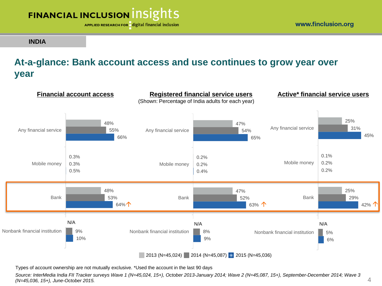

**INDIA**

#### **At-a-glance: Bank account access and use continues to grow year over year**



Types of account ownership are not mutually exclusive. \*Used the account in the last 90 days

*Source: InterMedia India FII Tracker surveys Wave 1 (N=45,024, 15+), October 2013-January 2014; Wave 2 (N=45,087, 15+), September-December 2014; Wave 3 (N=45,036, 15+), June-October 2015.*

www.finclusion.org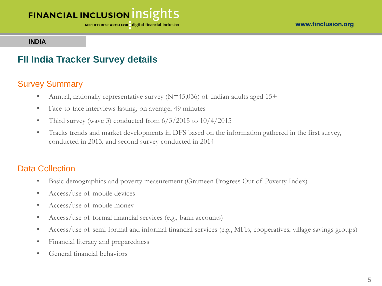APPLIED RESEARCH FOR digital financial inclusion

**INDIA**

#### **FII India Tracker Survey details**

#### Survey Summary

- Annual, nationally representative survey  $(N=45,036)$  of Indian adults aged 15+
- Face-to-face interviews lasting, on average, 49 minutes
- Third survey (wave 3) conducted from  $6/3/2015$  to  $10/4/2015$
- Tracks trends and market developments in DFS based on the information gathered in the first survey, conducted in 2013, and second survey conducted in 2014

#### Data Collection

- Basic demographics and poverty measurement (Grameen Progress Out of Poverty Index)
- Access/use of mobile devices
- Access/use of mobile money
- Access/use of formal financial services (e.g., bank accounts)
- Access/use of semi-formal and informal financial services (e.g., MFIs, cooperatives, village savings groups)
- Financial literacy and preparedness
- General financial behaviors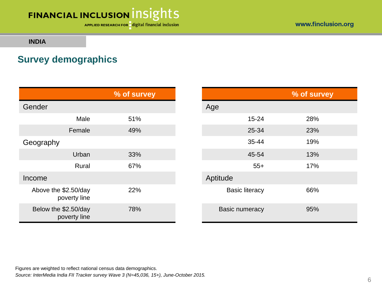APPLIED RESEARCH FOR digital financial inclusion

www.finclusion.org

**INDIA**

#### **Survey demographics**

|                                      | % of survey |                       | % of survey |
|--------------------------------------|-------------|-----------------------|-------------|
| Gender                               |             | Age                   |             |
| Male                                 | 51%         | $15 - 24$             | 28%         |
| Female                               | 49%         | 25-34                 | 23%         |
| Geography                            |             | $35 - 44$             | 19%         |
| Urban                                | 33%         | 45-54                 | 13%         |
| Rural                                | 67%         | $55+$                 | 17%         |
| Income                               |             | Aptitude              |             |
| Above the \$2.50/day<br>poverty line | 22%         | <b>Basic literacy</b> | 66%         |
| Below the \$2.50/day<br>poverty line | 78%         | <b>Basic numeracy</b> | 95%         |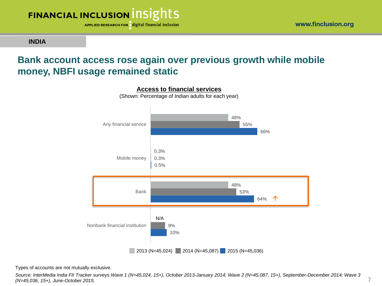

**INDIA**

#### **Bank account access rose again over previous growth while mobile money, NBFI usage remained static**



Types of accounts are not mutually exclusive.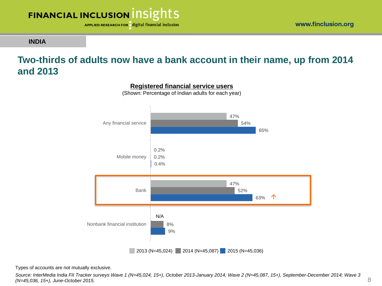

**INDIA**

#### **Two-thirds of adults now have a bank account in their name, up from 2014 and 2013**



**Registered financial service users**

(Shown: Percentage of Indian adults for each year)

Types of accounts are not mutually exclusive.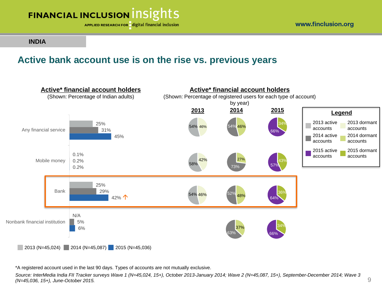

**INDIA**

#### **Active bank account use is on the rise vs. previous years**



\*A registered account used in the last 90 days. Types of accounts are not mutually exclusive.

*Source: InterMedia India FII Tracker surveys Wave 1 (N=45,024, 15+), October 2013-January 2014; Wave 2 (N=45,087, 15+), September-December 2014; Wave 3 (N=45,036, 15+), June-October 2015.*

www.finclusion.org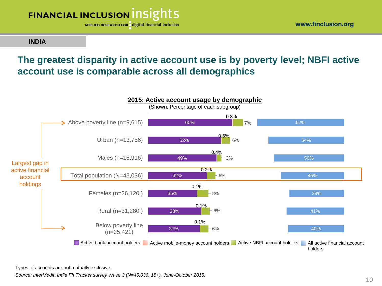

www.finclusion.org

#### **INDIA**

#### **The greatest disparity in active account use is by poverty level; NBFI active account use is comparable across all demographics**



Types of accounts are not mutually exclusive.

*Source: InterMedia India FII Tracker survey Wave 3 (N=45,036, 15+), June-October 2015.*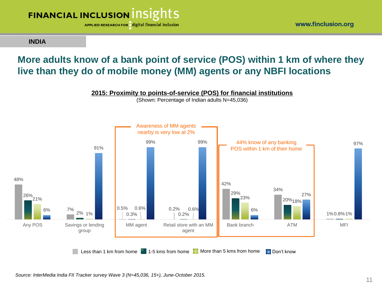

**INDIA**

#### **More adults know of a bank point of service (POS) within 1 km of where they live than they do of mobile money (MM) agents or any NBFI locations**



Less than 1 km from home 1-5 kms from home More than 5 kms from home Don't know

*Source: InterMedia India FII Tracker survey Wave 3 (N=45,036, 15+), June-October 2015.*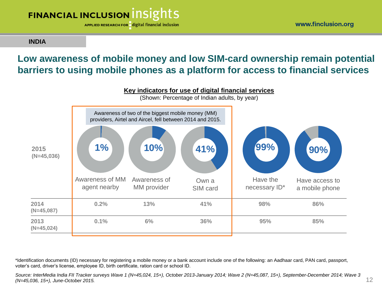APPLIED RESEARCH FOR digital financial inclusion

**INDIA**

#### **Low awareness of mobile money and low SIM-card ownership remain potential barriers to using mobile phones as a platform for access to financial services**



\*Identification documents (ID) necessary for registering a mobile money or a bank account include one of the following: an Aadhaar card, PAN card, passport, voter's card, driver's license, employee ID, birth certificate, ration card or school ID.

*Source: InterMedia India FII Tracker surveys Wave 1 (N=45,024, 15+), October 2013-January 2014; Wave 2 (N=45,087, 15+), September-December 2014; Wave 3 (N=45,036, 15+), June-October 2015.*

12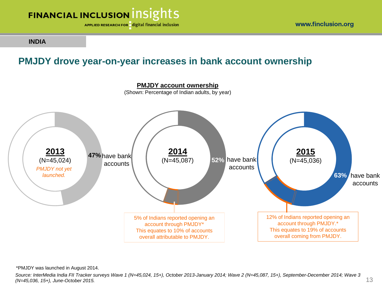

**INDIA**

#### **PMJDY drove year-on-year increases in bank account ownership**



\*PMJDY was launched in August 2014.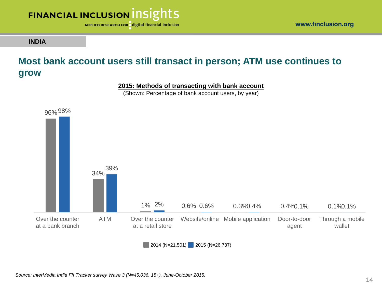

**INDIA**

#### www.finclusion.org

#### **Most bank account users still transact in person; ATM use continues to grow**

**2015: Methods of transacting with bank account**

(Shown: Percentage of bank account users, by year)



 $\blacksquare$  2014 (N=21,501) 2015 (N=26,737)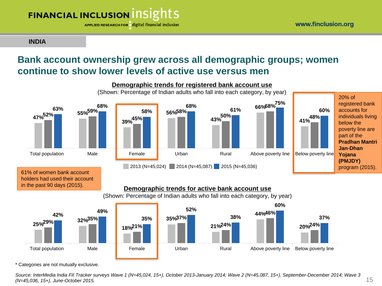APPLIED RESEARCH FOR digital financial inclusion

**INDIA**

#### **Bank account ownership grew across all demographic groups; women continue to show lower levels of active use versus men**





\* Categories are not mutually exclusive.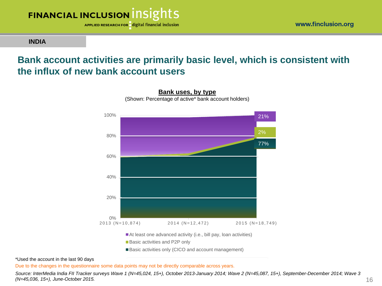

**INDIA**

#### **Bank account activities are primarily basic level, which is consistent with the influx of new bank account users**

**Bank uses, by type**



At least one advanced activity (i.e., bill pay, loan activities) ■ Basic activities and P2P only

Basic activities only (CICO and account management)

\*Used the account in the last 90 days

Due to the changes in the questionnaire some data points may not be directly comparable across years.

*Source: InterMedia India FII Tracker surveys Wave 1 (N=45,024, 15+), October 2013-January 2014; Wave 2 (N=45,087, 15+), September-December 2014; Wave 3 (N=45,036, 15+), June-October 2015.*

www.finclusion.org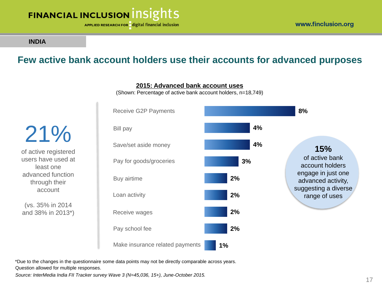

**INDIA**

#### **Few active bank account holders use their accounts for advanced purposes**

21% of active registered users have used at least one advanced function through their account

(vs. 35% in 2014 and 38% in 2013\*)



**2015: Advanced bank account uses**

(Shown: Percentage of active bank account holders, n=18,749)

\*Due to the changes in the questionnaire some data points may not be directly comparable across years. Question allowed for multiple responses.

*Source: InterMedia India FII Tracker survey Wave 3 (N=45,036, 15+), June-October 2015.*

**15%**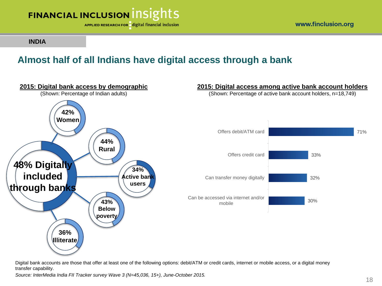

www.finclusion.org

**INDIA**

### **Almost half of all Indians have digital access through a bank**



Digital bank accounts are those that offer at least one of the following options: debit/ATM or credit cards, internet or mobile access, or a digital money transfer capability.

*Source: InterMedia India FII Tracker survey Wave 3 (N=45,036, 15+), June-October 2015.*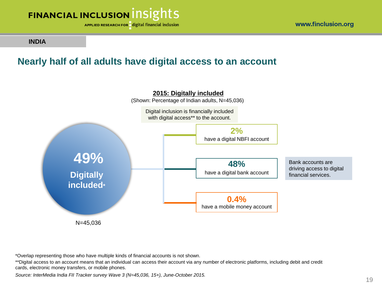



**INDIA**

#### **Nearly half of all adults have digital access to an account**



\*Overlap representing those who have multiple kinds of financial accounts is not shown.

\*\*Digital access to an account means that an individual can access their account via any number of electronic platforms, including debit and credit cards, electronic money transfers, or mobile phones.

*Source: InterMedia India FII Tracker survey Wave 3 (N=45,036, 15+), June-October 2015.*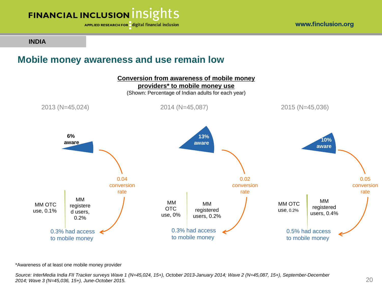

APPLIED RESEARCH FOR digital financial inclusion

**INDIA**

#### **Mobile money awareness and use remain low**



\*Awareness of at least one mobile money provider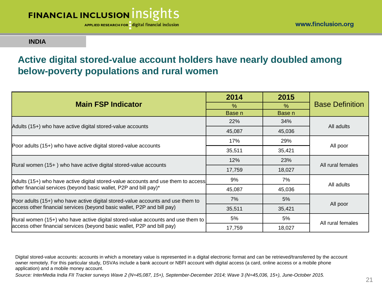APPLIED RESEARCH FOR digital financial inclusion

www.finclusion.org

#### **INDIA**

#### **Active digital stored-value account holders have nearly doubled among below-poverty populations and rural women**

|                                                                                   | 2014   | 2015       | <b>Base Definition</b> |  |
|-----------------------------------------------------------------------------------|--------|------------|------------------------|--|
| <b>Main FSP Indicator</b>                                                         | $\%$   | %          |                        |  |
|                                                                                   | Base n | Base n     |                        |  |
| Adults (15+) who have active digital stored-value accounts                        | 22%    | <b>34%</b> | All adults             |  |
|                                                                                   | 45,087 | 45,036     |                        |  |
|                                                                                   | 17%    | 29%        | All poor               |  |
| Poor adults (15+) who have active digital stored-value accounts                   | 35,511 | 35,421     |                        |  |
|                                                                                   | 12%    | 23%        |                        |  |
| Rural women (15+) who have active digital stored-value accounts                   | 17,759 | 18,027     | All rural females      |  |
| Adults (15+) who have active digital stored-value accounts and use them to access | 9%     | 7%         | All adults             |  |
| other financial services (beyond basic wallet, P2P and bill pay)*                 | 45,087 | 45,036     |                        |  |
| Poor adults (15+) who have active digital stored-value accounts and use them to   | 7%     | 5%         | All poor               |  |
| access other financial services (beyond basic wallet, P2P and bill pay)           | 35,511 | 35,421     |                        |  |
| Rural women (15+) who have active digital stored-value accounts and use them to   | 5%     | 5%         | All rural females      |  |
| access other financial services (beyond basic wallet, P2P and bill pay)           | 17,759 | 18,027     |                        |  |

Digital stored-value accounts: accounts in which a monetary value is represented in a digital electronic format and can be retrieved/transferred by the account owner remotely. For this particular study, DSVAs include a bank account or NBFI account with digital access (a card, online access or a mobile phone application) and a mobile money account.

*Source: InterMedia India FII Tracker surveys Wave 2 (N=45,087, 15+), September-December 2014; Wave 3 (N=45,036, 15+), June-October 2015.*